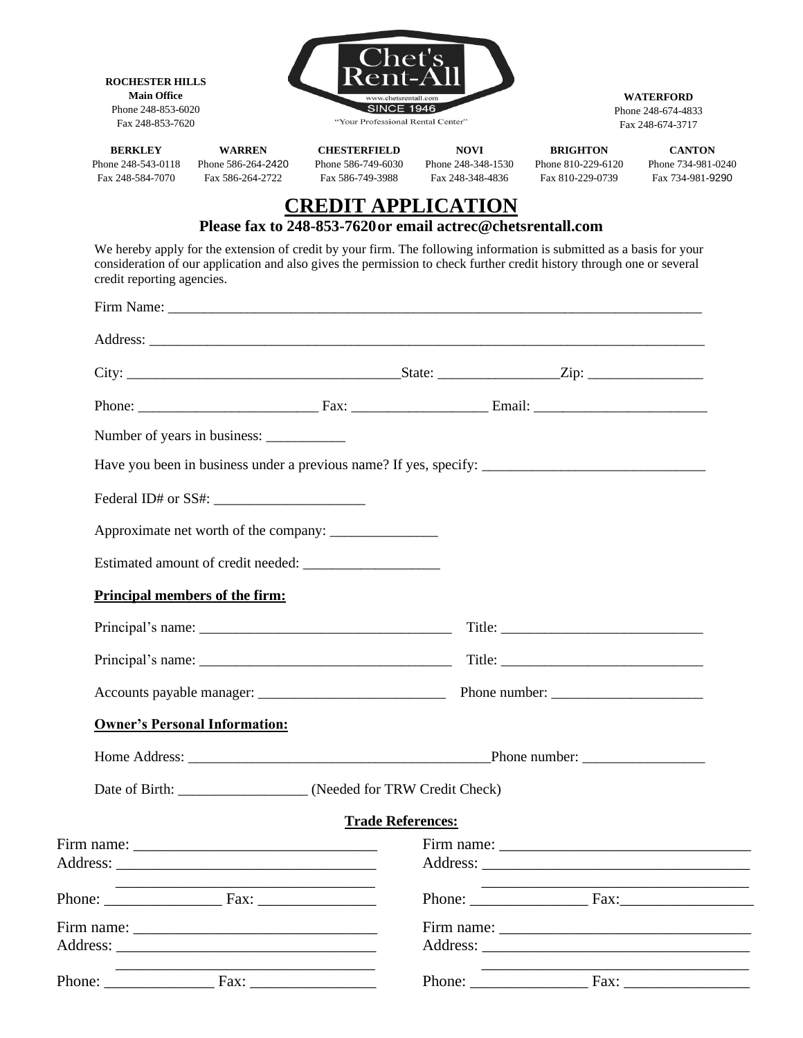| <b>ROCHESTER HILLS</b><br><b>Main Office</b><br>Phone 248-853-6020<br>Fax 248-853-7620 |                                                                                                                                                                                                                                               |                                                                                          | www.chetsrentall.com<br><b>SINCE 1946</b><br>"Your Professional Rental Center" |                                                           | <b>WATERFORD</b><br>Phone 248-674-4833<br>Fax 248-674-3717 |  |
|----------------------------------------------------------------------------------------|-----------------------------------------------------------------------------------------------------------------------------------------------------------------------------------------------------------------------------------------------|------------------------------------------------------------------------------------------|--------------------------------------------------------------------------------|-----------------------------------------------------------|------------------------------------------------------------|--|
| <b>BERKLEY</b><br>Phone 248-543-0118<br>Fax 248-584-7070                               | <b>WARREN</b><br>Phone 586-264-2420<br>Fax 586-264-2722                                                                                                                                                                                       | <b>CHESTERFIELD</b><br>Phone 586-749-6030<br>Fax 586-749-3988                            | <b>NOVI</b><br>Phone 248-348-1530<br>Fax 248-348-4836                          | <b>BRIGHTON</b><br>Phone 810-229-6120<br>Fax 810-229-0739 | <b>CANTON</b><br>Phone 734-981-0240<br>Fax 734-981-9290    |  |
|                                                                                        |                                                                                                                                                                                                                                               | <b>CREDIT APPLICATION</b><br>Please fax to 248-853-7620 or email actrec@chetsrentall.com |                                                                                |                                                           |                                                            |  |
| credit reporting agencies.                                                             | We hereby apply for the extension of credit by your firm. The following information is submitted as a basis for your<br>consideration of our application and also gives the permission to check further credit history through one or several |                                                                                          |                                                                                |                                                           |                                                            |  |
|                                                                                        |                                                                                                                                                                                                                                               |                                                                                          |                                                                                |                                                           |                                                            |  |
|                                                                                        |                                                                                                                                                                                                                                               |                                                                                          |                                                                                |                                                           |                                                            |  |
|                                                                                        |                                                                                                                                                                                                                                               |                                                                                          |                                                                                |                                                           |                                                            |  |
|                                                                                        |                                                                                                                                                                                                                                               |                                                                                          |                                                                                |                                                           |                                                            |  |
|                                                                                        |                                                                                                                                                                                                                                               |                                                                                          |                                                                                |                                                           |                                                            |  |
|                                                                                        | Have you been in business under a previous name? If yes, specify: __________________________________                                                                                                                                          |                                                                                          |                                                                                |                                                           |                                                            |  |
|                                                                                        |                                                                                                                                                                                                                                               |                                                                                          |                                                                                |                                                           |                                                            |  |
|                                                                                        |                                                                                                                                                                                                                                               |                                                                                          |                                                                                |                                                           |                                                            |  |
|                                                                                        |                                                                                                                                                                                                                                               |                                                                                          |                                                                                |                                                           |                                                            |  |
|                                                                                        | Principal members of the firm:                                                                                                                                                                                                                |                                                                                          |                                                                                |                                                           |                                                            |  |
|                                                                                        |                                                                                                                                                                                                                                               |                                                                                          |                                                                                |                                                           |                                                            |  |
|                                                                                        |                                                                                                                                                                                                                                               |                                                                                          |                                                                                |                                                           |                                                            |  |
|                                                                                        |                                                                                                                                                                                                                                               |                                                                                          |                                                                                |                                                           |                                                            |  |
|                                                                                        | <b>Owner's Personal Information:</b>                                                                                                                                                                                                          |                                                                                          |                                                                                |                                                           |                                                            |  |
|                                                                                        |                                                                                                                                                                                                                                               |                                                                                          |                                                                                |                                                           |                                                            |  |
|                                                                                        |                                                                                                                                                                                                                                               |                                                                                          |                                                                                |                                                           |                                                            |  |
|                                                                                        |                                                                                                                                                                                                                                               |                                                                                          |                                                                                |                                                           |                                                            |  |
|                                                                                        | Date of Birth: __________________ (Needed for TRW Credit Check)                                                                                                                                                                               |                                                                                          |                                                                                |                                                           |                                                            |  |
|                                                                                        |                                                                                                                                                                                                                                               | <b>Trade References:</b>                                                                 |                                                                                |                                                           |                                                            |  |
|                                                                                        |                                                                                                                                                                                                                                               |                                                                                          |                                                                                |                                                           |                                                            |  |
|                                                                                        |                                                                                                                                                                                                                                               |                                                                                          |                                                                                |                                                           |                                                            |  |
|                                                                                        | Firm name: $\frac{1}{\sqrt{1-\frac{1}{2}} \cdot \frac{1}{2}}$                                                                                                                                                                                 |                                                                                          |                                                                                |                                                           |                                                            |  |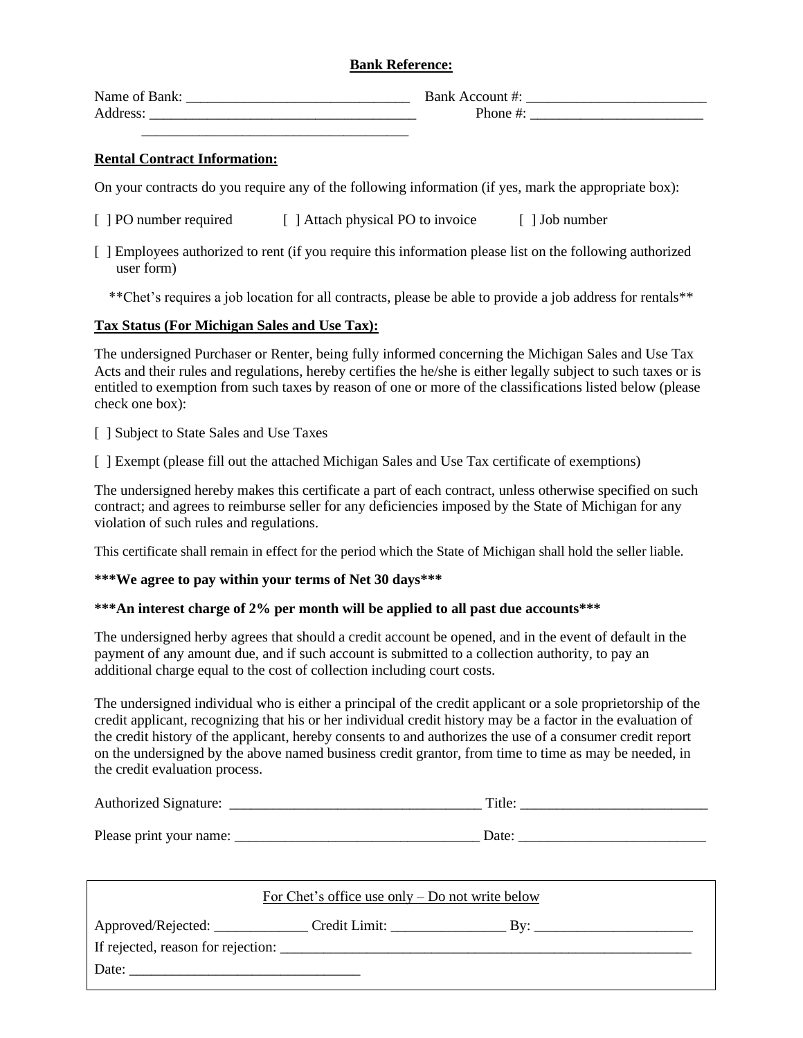## **Bank Reference:**

| Name of Bank: | Bank Account #: |  |
|---------------|-----------------|--|
| Address:      | Phone #:        |  |
|               |                 |  |

## **Rental Contract Information:**

On your contracts do you require any of the following information (if yes, mark the appropriate box):

- [ ] PO number required [ ] Attach physical PO to invoice [ ] Job number
- [ ] Employees authorized to rent (if you require this information please list on the following authorized user form)

\*\*Chet's requires a job location for all contracts, please be able to provide a job address for rentals\*\*

## **Tax Status (For Michigan Sales and Use Tax):**

The undersigned Purchaser or Renter, being fully informed concerning the Michigan Sales and Use Tax Acts and their rules and regulations, hereby certifies the he/she is either legally subject to such taxes or is entitled to exemption from such taxes by reason of one or more of the classifications listed below (please check one box):

[ ] Subject to State Sales and Use Taxes

[ ] Exempt (please fill out the attached Michigan Sales and Use Tax certificate of exemptions)

The undersigned hereby makes this certificate a part of each contract, unless otherwise specified on such contract; and agrees to reimburse seller for any deficiencies imposed by the State of Michigan for any violation of such rules and regulations.

This certificate shall remain in effect for the period which the State of Michigan shall hold the seller liable.

#### **\*\*\*We agree to pay within your terms of Net 30 days\*\*\***

#### **\*\*\*An interest charge of 2% per month will be applied to all past due accounts\*\*\***

The undersigned herby agrees that should a credit account be opened, and in the event of default in the payment of any amount due, and if such account is submitted to a collection authority, to pay an additional charge equal to the cost of collection including court costs.

The undersigned individual who is either a principal of the credit applicant or a sole proprietorship of the credit applicant, recognizing that his or her individual credit history may be a factor in the evaluation of the credit history of the applicant, hereby consents to and authorizes the use of a consumer credit report on the undersigned by the above named business credit grantor, from time to time as may be needed, in the credit evaluation process.

| <b>Authorized Signature:</b> | Title: |  |
|------------------------------|--------|--|
|                              |        |  |
| Please print your name:      | Date:  |  |

| For Chet's office use only $-$ Do not write below                                 |  |                           |  |
|-----------------------------------------------------------------------------------|--|---------------------------|--|
| Approved/Rejected: ________________Credit Limit: ________________________________ |  | $\mathbf{B} \mathbf{v}$ : |  |
|                                                                                   |  |                           |  |
|                                                                                   |  |                           |  |
|                                                                                   |  |                           |  |